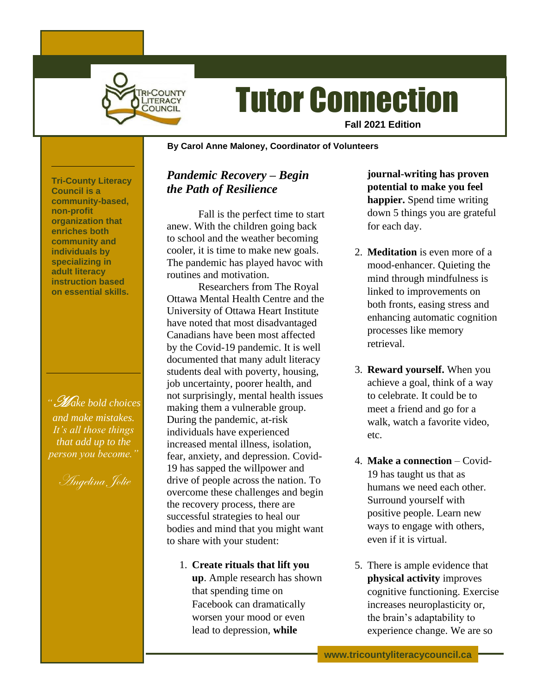

# Tutor Connection

**Fall 2021 Edition**

#### **~ By Carol Anne Maloney, Coordinator of Volunteers**

**Tri-County Literacy Council is a community-based, non-profit organization that enriches both community and individuals by specializing in adult literacy instruction based on essential skills.**

*"*M *ake bold choices and make mistakes. It's all those things that add up to the person you become."*

Angelina Jolie

### *Pandemic Recovery – Begin the Path of Resilience*

Fall is the perfect time to start anew. With the children going back to school and the weather becoming cooler, it is time to make new goals. The pandemic has played havoc with routines and motivation.

Researchers from The Royal Ottawa Mental Health Centre and the University of Ottawa Heart Institute have noted that most disadvantaged Canadians have been most affected by the Covid-19 pandemic. It is well documented that many adult literacy students deal with poverty, housing, job uncertainty, poorer health, and not surprisingly, mental health issues making them a vulnerable group. During the pandemic, at-risk individuals have experienced increased mental illness, isolation, fear, anxiety, and depression. Covid-19 has sapped the willpower and drive of people across the nation. To overcome these challenges and begin the recovery process, there are successful strategies to heal our bodies and mind that you might want to share with your student:

1. **Create rituals that lift you up**. Ample research has shown that spending time on Facebook can dramatically worsen your mood or even lead to depression, **while** 

**journal-writing has proven potential to make you feel happier.** Spend time writing down 5 things you are grateful for each day.

- 2. **Meditation** is even more of a mood-enhancer. Quieting the mind through mindfulness is linked to improvements on both fronts, easing stress and enhancing automatic cognition processes like memory retrieval.
- 3. **Reward yourself.** When you achieve a goal, think of a way to celebrate. It could be to meet a friend and go for a walk, watch a favorite video, etc.
- 4. **Make a connection** Covid-19 has taught us that as humans we need each other. Surround yourself with positive people. Learn new ways to engage with others, even if it is virtual.
- 5. There is ample evidence that **physical activity** improves cognitive functioning. Exercise increases neuroplasticity or, the brain's adaptability to experience change. We are so